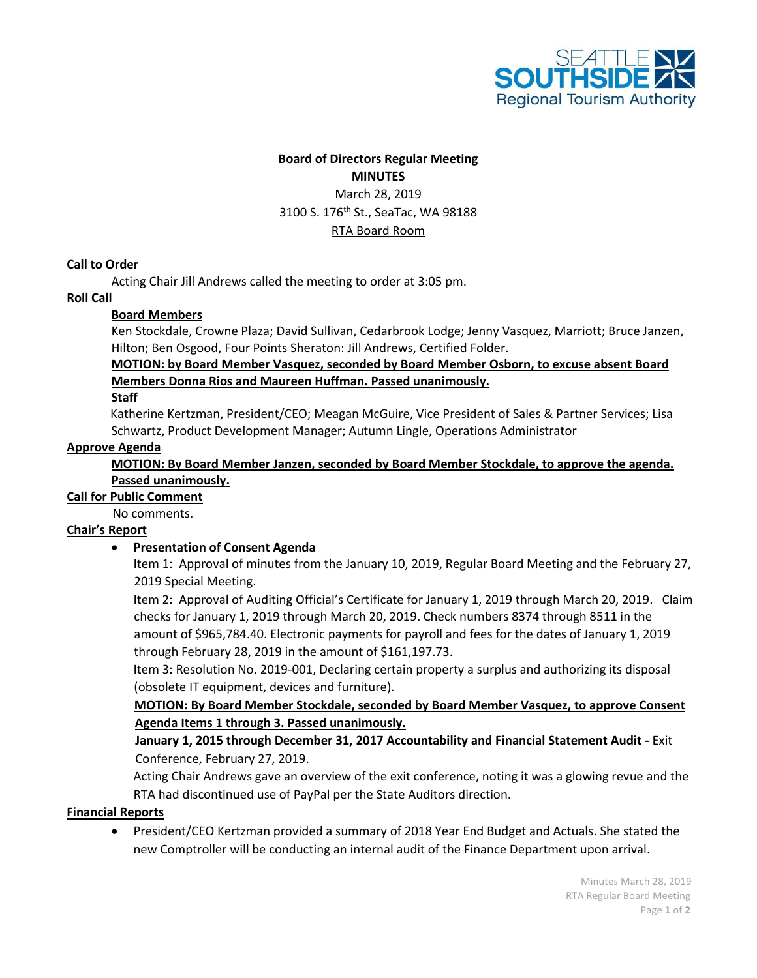

## **Board of Directors Regular Meeting MINUTES** March 28, 2019 3100 S. 176<sup>th</sup> St., SeaTac, WA 98188

### RTA Board Room

### **Call to Order**

Acting Chair Jill Andrews called the meeting to order at 3:05 pm.

#### **Roll Call**

## **Board Members**

Ken Stockdale, Crowne Plaza; David Sullivan, Cedarbrook Lodge; Jenny Vasquez, Marriott; Bruce Janzen, Hilton; Ben Osgood, Four Points Sheraton: Jill Andrews, Certified Folder.

### **MOTION: by Board Member Vasquez, seconded by Board Member Osborn, to excuse absent Board Members Donna Rios and Maureen Huffman. Passed unanimously.**

#### **Staff**

Katherine Kertzman, President/CEO; Meagan McGuire, Vice President of Sales & Partner Services; Lisa Schwartz, Product Development Manager; Autumn Lingle, Operations Administrator

#### **Approve Agenda**

#### **MOTION: By Board Member Janzen, seconded by Board Member Stockdale, to approve the agenda. Passed unanimously.**

#### **Call for Public Comment**

No comments.

#### **Chair's Report**

#### • **Presentation of Consent Agenda**

Item 1: Approval of minutes from the January 10, 2019, Regular Board Meeting and the February 27, 2019 Special Meeting.

Item 2: Approval of Auditing Official's Certificate for January 1, 2019 through March 20, 2019. Claim checks for January 1, 2019 through March 20, 2019. Check numbers 8374 through 8511 in the amount of \$965,784.40. Electronic payments for payroll and fees for the dates of January 1, 2019 through February 28, 2019 in the amount of \$161,197.73.

Item 3: Resolution No. 2019-001, Declaring certain property a surplus and authorizing its disposal (obsolete IT equipment, devices and furniture).

**MOTION: By Board Member Stockdale, seconded by Board Member Vasquez, to approve Consent Agenda Items 1 through 3. Passed unanimously.**

## **January 1, 2015 through December 31, 2017 Accountability and Financial Statement Audit -** Exit Conference, February 27, 2019.

Acting Chair Andrews gave an overview of the exit conference, noting it was a glowing revue and the RTA had discontinued use of PayPal per the State Auditors direction.

### **Financial Reports**

• President/CEO Kertzman provided a summary of 2018 Year End Budget and Actuals. She stated the new Comptroller will be conducting an internal audit of the Finance Department upon arrival.